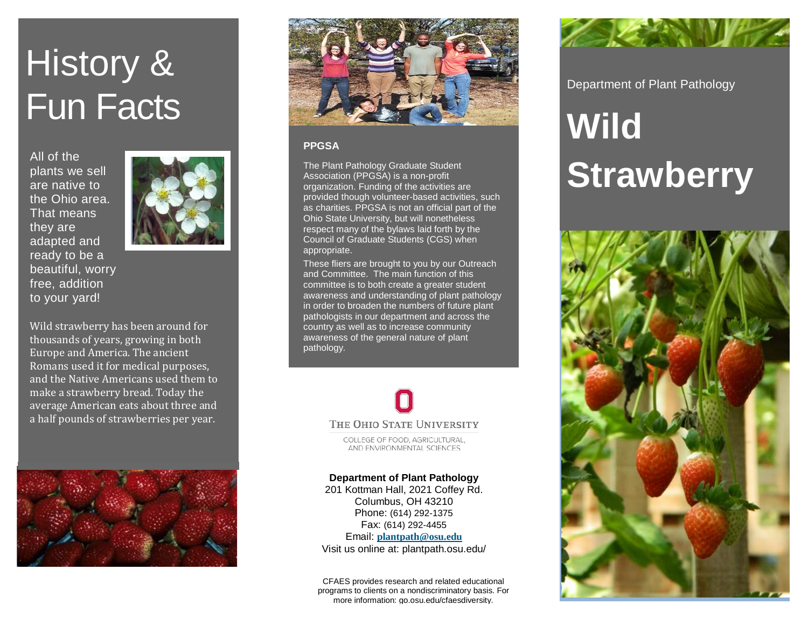# History & Fun Facts

All of the plants we sell are native to the Ohio area. That means they are adapted and ready to be a beautiful, worry free, addition to your yard!



Wild strawberry has been around for thousands of years, growing in both Europe and America. The ancient Romans used it for medical purposes, and the Native Americans used them to make a strawberry bread. Today the average American eats about three and a half pounds of strawberries per year.





### **PPGSA**

The Plant Pathology Graduate Student Association (PPGSA) is a non-profit organization. Funding of the activities are provided though volunteer-based activities, such as charities. PPGSA is not an official part of the Ohio State University, but will nonetheless respect many of the bylaws laid forth by the Council of Graduate Students (CGS) when appropriate.

These fliers are brought to you by our Outreach and Committee. The main function of this committee is to both create a greater student awareness and understanding of plant pathology in order to broaden the numbers of future plant pathologists in our department and across the country as well as to increase community awareness of the general nature of plant pathology.



COLLEGE OF FOOD, AGRICULTURAL. AND ENVIRONMENTAL SCIENCES

## **Department of Plant Pathology**

201 Kottman Hall, 2021 Coffey Rd. Columbus, OH 43210 Phone: (614) 292-1375 Fax: (614) 292-4455 Email: **[plantpath@osu.edu](mailto:plantpath@osu.edu)** Visit us online at: plantpath.osu.edu/

CFAES provides research and related educational programs to clients on a nondiscriminatory basis. For more information: go.osu.edu/cfaesdiversity.



Department of Plant Pathology

# **Wild Strawberry**